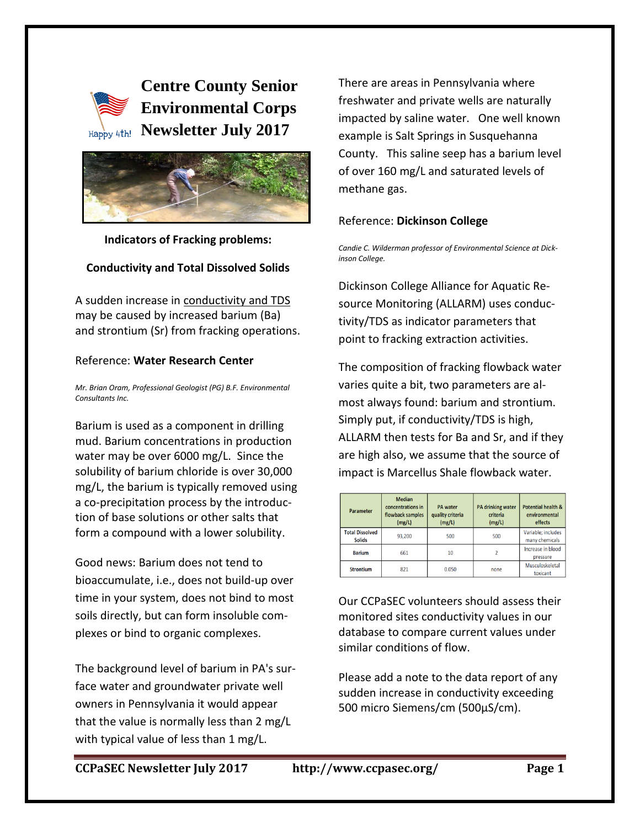# **Centre County Senior Environmental Corps Happy 4th! Newsletter July 2017**



**Indicators of Fracking problems:** 

## **Conductivity and Total Dissolved Solids**

A sudden increase in conductivity and TDS may be caused by increased barium (Ba) and strontium (Sr) from fracking operations.

#### Reference: **Water Research Center**

*Mr. Brian Oram, Professional Geologist (PG) B.F. Environmental Consultants Inc.*

Barium is used as a component in drilling mud. Barium concentrations in production water may be over 6000 mg/L. Since the solubility of barium chloride is over 30,000 mg/L, the barium is typically removed using a co-precipitation process by the introduction of base solutions or other salts that form a compound with a lower solubility.

Good news: Barium does not tend to bioaccumulate, i.e., does not build-up over time in your system, does not bind to most soils directly, but can form insoluble complexes or bind to organic complexes.

The background level of barium in PA's surface water and groundwater private well owners in Pennsylvania it would appear that the value is normally less than 2 mg/L with typical value of less than 1 mg/L.

There are areas in Pennsylvania where freshwater and private wells are naturally impacted by saline water. One well known example is Salt Springs in Susquehanna County. This saline seep has a barium level of over 160 mg/L and saturated levels of methane gas.

## Reference: **Dickinson College**

*Candie C. Wilderman professor of Environmental Science at Dickinson College.*

Dickinson College Alliance for Aquatic Resource Monitoring (ALLARM) uses conductivity/TDS as indicator parameters that point to fracking extraction activities.

The composition of fracking flowback water varies quite a bit, two parameters are almost always found: barium and strontium. Simply put, if conductivity/TDS is high, ALLARM then tests for Ba and Sr, and if they are high also, we assume that the source of impact is Marcellus Shale flowback water.

| Parameter                               | <b>Median</b><br>concentrations in<br>flowback samples<br>(mg/L) | <b>PA</b> water<br>quality criteria<br>(mg/L) | <b>PA drinking water</b><br>criteria<br>(mg/L) | <b>Potential health &amp;</b><br>environmental<br>effects |
|-----------------------------------------|------------------------------------------------------------------|-----------------------------------------------|------------------------------------------------|-----------------------------------------------------------|
| <b>Total Dissolved</b><br><b>Solids</b> | 93,200                                                           | 500                                           | 500                                            | Variable; includes<br>many chemicals                      |
| <b>Barium</b>                           | 661                                                              | 10                                            |                                                | Increase in blood<br>pressure                             |
| <b>Strontium</b>                        | 821                                                              | 0.050                                         | none                                           | Musculoskeletal<br>toxicant                               |

Our CCPaSEC volunteers should assess their monitored sites conductivity values in our database to compare current values under similar conditions of flow.

Please add a note to the data report of any sudden increase in conductivity exceeding 500 micro Siemens/cm (500µS/cm).

**CCPaSEC Newsletter July 2017 http://www.ccpasec.org/ Page 1**